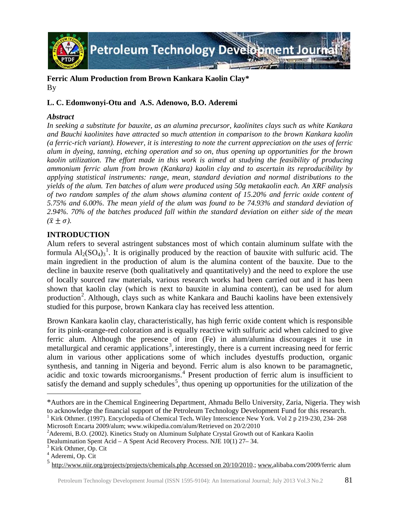

# **Ferric Alum Production from Brown Kankara Kaolin Clay\*** By

# **L. C. Edomwonyi-Otu and A.S. Adenowo, B.O. Aderemi**

# *Abstract*

*In seeking a substitute for bauxite, as an alumina precursor, kaolinites clays such as white Kankara and Bauchi kaolinites have attracted so much attention in comparison to the brown Kankara kaolin (a ferric-rich variant). However, it is interesting to note the current appreciation on the uses of ferric alum in dyeing, tanning, etching operation and so on, thus opening up opportunities for the brown kaolin utilization. The effort made in this work is aimed at studying the feasibility of producing ammonium ferric alum from brown (Kankara) kaolin clay and to ascertain its reproducibility by applying statistical instruments: range, mean, standard deviation and normal distributions to the yields of the alum. Ten batches of alum were produced using 50g metakaolin each. An XRF analysis of two random samples of the alum shows alumina content of 15.20% and ferric oxide content of 5.75% and 6.00%. The mean yield of the alum was found to be 74.93% and standard deviation of 2.94%. 70% of the batches produced fall within the standard deviation on either side of the mean*   $(\bar{x} \pm \sigma)$ .

# **INTRODUCTION**

Alum refers to several astringent substances most of which contain aluminum sulfate with the formula  $Al_2(SO_4)_3^1$  $Al_2(SO_4)_3^1$ . It is originally produced by the reaction of bauxite with sulfuric acid. The main ingredient in the production of alum is the alumina content of the bauxite. Due to the decline in bauxite reserve (both qualitatively and quantitatively) and the need to explore the use of locally sourced raw materials, various research works had been carried out and it has been shown that kaolin clay (which is next to bauxite in alumina content), can be used for alum production<sup>[2](#page-0-1)</sup>. Although, clays such as white Kankara and Bauchi kaolins have been extensively studied for this purpose, brown Kankara clay has received less attention.

Brown Kankara kaolin clay, characteristically, has high ferric oxide content which is responsible for its pink-orange-red coloration and is equally reactive with sulfuric acid when calcined to give ferric alum. Although the presence of iron (Fe) in alum/alumina discourages it use in metallurgical and ceramic applications<sup>[3](#page-0-2)</sup>, interestingly, there is a current increasing need for ferric alum in various other applications some of which includes dyestuffs production, organic synthesis, and tanning in Nigeria and beyond. Ferric alum is also known to be paramagnetic, acidic and toxic towards microorganisms.[4](#page-0-3) Present production of ferric alum is insufficient to satisfy the demand and supply schedules<sup>[5](#page-0-4)</sup>, thus opening up opportunities for the utilization of the

 $\overline{a}$ 

<span id="page-0-0"></span><sup>\*</sup>Authors are in the Chemical Engineering Department, Ahmadu Bello University, Zaria, Nigeria. They wish to acknowledge the financial support of the Petroleum Technology Development Fund for this research.

<sup>1</sup> Kirk Othmer. (1997). Encyclopedia of Chemical Tech**.** Wiley Interscience New York. Vol 2 p 219-230, 234- 268 Microsoft Encarta 2009/alum; www.wikipedia.com/alum/Retrieved on 20/2/2010 <sup>2</sup>

<span id="page-0-1"></span><sup>&</sup>lt;sup>2</sup> Aderemi, B.O. (2002). Kinetics Study on Aluminum Sulphate Crystal Growth out of Kankara Kaolin

Dealumination Spent Acid – A Spent Acid Recovery Process. NJE  $10(1)$  27–34.<br><sup>3</sup> Kirk Othmer, Op. Cit  $4$  Aderemi, Op. Cit

<span id="page-0-2"></span>

<span id="page-0-3"></span>

<span id="page-0-4"></span>[http://www.niir.org/projects/projects/chemicals.php Accessed on 20/10/2010.](http://www.niir.org/projects/projects/chemicals.php%20Accessed%20on%2020/10/2010)[; www.a](http://www.niir.org/)libaba.com/2009/ferric alum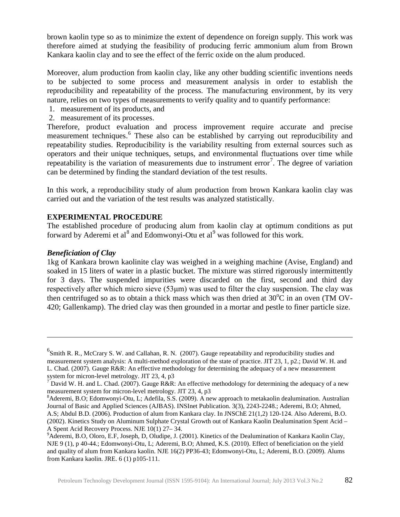brown kaolin type so as to minimize the extent of dependence on foreign supply. This work was therefore aimed at studying the feasibility of producing ferric ammonium alum from Brown Kankara kaolin clay and to see the effect of the ferric oxide on the alum produced.

Moreover, alum production from kaolin clay, like any other budding scientific inventions needs to be subjected to some process and measurement analysis in order to establish the reproducibility and repeatability of the process. The manufacturing environment, by its very nature, relies on two types of measurements to verify quality and to quantify performance:

- 1. measurement of its products, and
- 2. measurement of its processes.

Therefore, product evaluation and process improvement require accurate and precise measurement techniques. [6](#page-1-0) These also can be established by carrying out reproducibility and repeatability studies. Reproducibility is the variability resulting from external sources such as operators and their unique techniques, setups, and environmental fluctuations over time while repeatability is the variation of measurements due to instrument error<sup>[7](#page-1-1)</sup>. The degree of variation can be determined by finding the standard deviation of the test results.

In this work, a reproducibility study of alum production from brown Kankara kaolin clay was carried out and the variation of the test results was analyzed statistically.

# **EXPERIMENTAL PROCEDURE**

The established procedure of producing alum from kaolin clay at optimum conditions as put forward by Aderemi et  $al^8$  $al^8$  and Edomwonyi-Otu et  $al^9$  $al^9$  was followed for this work.

## *Beneficiation of Clay*

 $\overline{a}$ 

1kg of Kankara brown kaolinite clay was weighed in a weighing machine (Avise, England) and soaked in 15 liters of water in a plastic bucket. The mixture was stirred rigorously intermittently for 3 days. The suspended impurities were discarded on the first, second and third day respectively after which micro sieve (53μm) was used to filter the clay suspension. The clay was then centrifuged so as to obtain a thick mass which was then dried at  $30^{\circ}$ C in an oven (TM OV-420; Gallenkamp). The dried clay was then grounded in a mortar and pestle to finer particle size.

<span id="page-1-0"></span> ${}^{6}$ Smith R. R., McCrary S. W. and Callahan, R. N. (2007). Gauge repeatability and reproducibility studies and measurement system analysis: A multi-method exploration of the state of practice. JIT 23, 1, p2.; David W. H. and L. Chad. (2007). Gauge R&R: An effective methodology for determining the adequacy of a new measurement system for micron-level metrology. JIT 23, 4, p3<br>
<sup>7</sup> David W. H. and L. Chad. (2007). Gauge R&R: An effective methodology for determining the adequacy of a new

<span id="page-1-1"></span>measurement system for micron-level metrology. JIT 23, 4, p3

<span id="page-1-2"></span><sup>&</sup>lt;sup>8</sup> Aderemi, B.O; Edomwonyi-Otu, L; Adefila, S.S. (2009). A new approach to metakaolin dealumination. Australian Journal of Basic and Applied Sciences (AJBAS). INSInet Publication. 3(3), 2243-2248.; Aderemi, B.O; Ahmed, A.S; Abdul B.D. (2006). Production of alum from Kankara clay. In JNSChE 21(1,2) 120-124. Also Aderemi, B.O. (2002). Kinetics Study on Aluminum Sulphate Crystal Growth out of Kankara Kaolin Dealumination Spent Acid – A Spent Acid Recovery Process. NJE 10(1) 27– 34. <sup>9</sup>

<span id="page-1-3"></span><sup>&</sup>lt;sup>9</sup>Aderemi, B.O, Oloro, E.F, Joseph, D, Oludipe, J. (2001). Kinetics of the Dealumination of Kankara Kaolin Clay, NJE 9 (1), p 40-44.; Edomwonyi-Otu, L; Aderemi, B.O; Ahmed, K.S. (2010). Effect of beneficiation on the yield and quality of alum from Kankara kaolin. NJE 16(2) PP36-43; Edomwonyi-Otu, L; Aderemi, B.O. (2009). Alums from Kankara kaolin. JRE. 6 (1) p105-111.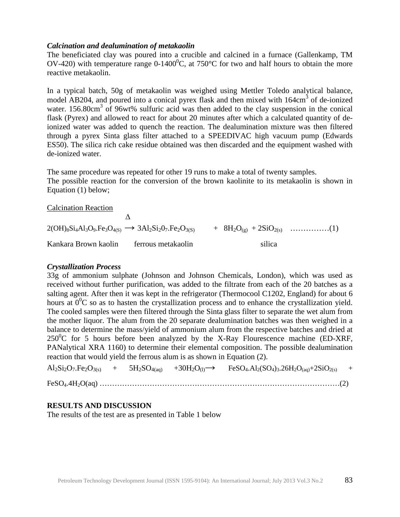### *Calcination and dealumination of metakaolin*

The beneficiated clay was poured into a crucible and calcined in a furnace (Gallenkamp, TM OV-420) with temperature range 0-1400<sup>o</sup>C, at 750<sup>o</sup>C for two and half hours to obtain the more reactive metakaolin.

In a typical batch, 50g of metakaolin was weighed using Mettler Toledo analytical balance, model AB204, and poured into a conical pyrex flask and then mixed with 164cm<sup>3</sup> of de-ionized water. 156.80cm<sup>3</sup> of 96wt% sulfuric acid was then added to the clay suspension in the conical flask (Pyrex) and allowed to react for about 20 minutes after which a calculated quantity of deionized water was added to quench the reaction. The dealumination mixture was then filtered through a pyrex Sinta glass filter attached to a SPEEDIVAC high vacuum pump (Edwards ES50). The silica rich cake residue obtained was then discarded and the equipment washed with de-ionized water.

The same procedure was repeated for other 19 runs to make a total of twenty samples. The possible reaction for the conversion of the brown kaolinite to its metakaolin is shown in Equation (1) below;

Calcination Reaction

 Δ  $2(OH)_8Si_4Al_3O_9.Fe_3O_{4(S)} \rightarrow 3Al_2Si_2O_7.Fe_2O_{3(S)} + 8H_2O_{(g)} + 2SiO_{2(S)}$  ……………(1) Kankara Brown kaolin ferrous metakaolin silica

#### *Crystallization Process*

33g of ammonium sulphate (Johnson and Johnson Chemicals, London), which was used as received without further purification, was added to the filtrate from each of the 20 batches as a salting agent. After then it was kept in the refrigerator (Thermocool C1202, England) for about 6 hours at  $0^0C$  so as to hasten the crystallization process and to enhance the crystallization yield. The cooled samples were then filtered through the Sinta glass filter to separate the wet alum from the mother liquor. The alum from the 20 separate dealumination batches was then weighed in a balance to determine the mass/yield of ammonium alum from the respective batches and dried at  $250^{\circ}$ C for 5 hours before been analyzed by the X-Ray Flourescence machine (ED-XRF, PANalytical XRA 1160) to determine their elemental composition. The possible dealumination reaction that would yield the ferrous alum is as shown in Equation (2).

 $\text{Al}_2\text{Si}_2\text{O}_7.\text{Fe}_2\text{O}_{3(s)}$  +  $5\text{H}_2\text{SO}_{4(aq)}$  +  $30\text{H}_2\text{O}_{(l)} \rightarrow$  FeSO<sub>4</sub>.Al<sub>2</sub>(SO<sub>4</sub>)<sub>3</sub>.26H<sub>2</sub>O<sub>(aq)</sub>+2SiO<sub>2(s)</sub> + FeSO4.4H2O(aq) ……………………………………………………………………………………(2)

## **RESULTS AND DISCUSSION**

The results of the test are as presented in Table 1 below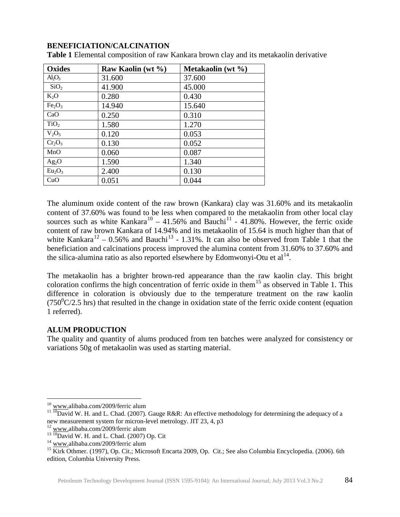# **BENEFICIATION/CALCINATION**

| <b>Oxides</b>                  | Raw Kaolin (wt %) | Metakaolin (wt $\%$ ) |
|--------------------------------|-------------------|-----------------------|
| $Al_2O_3$                      | 31.600            | 37.600                |
| SiO <sub>2</sub>               | 41.900            | 45.000                |
| $K_2O$                         | 0.280             | 0.430                 |
| Fe <sub>2</sub> O <sub>3</sub> | 14.940            | 15.640                |
| CaO                            | 0.250             | 0.310                 |
| TiO <sub>2</sub>               | 1.580             | 1.270                 |
| $V_2O_5$                       | 0.120             | 0.053                 |
| $Cr_2O_3$                      | 0.130             | 0.052                 |
| MnO                            | 0.060             | 0.087                 |
| $Ag_2O$                        | 1.590             | 1.340                 |
| Eu <sub>2</sub> O <sub>3</sub> | 2.400             | 0.130                 |
| CuO                            | 0.051             | 0.044                 |

**Table 1** Elemental composition of raw Kankara brown clay and its metakaolin derivative

The aluminum oxide content of the raw brown (Kankara) clay was 31.60% and its metakaolin content of 37.60% was found to be less when compared to the metakaolin from other local clay sources such as white Kankara<sup>[10](#page-3-0)</sup> – 41.56% and Bauchi<sup>[11](#page-3-1)</sup> - 41.80%. However, the ferric oxide content of raw brown Kankara of 14.94% and its metakaolin of 15.64 is much higher than that of white Kankara<sup>[12](#page-3-2)</sup> – 0.56% and Bauchi<sup>[13](#page-3-3)</sup> - 1.31%. It can also be observed from Table 1 that the beneficiation and calcinations process improved the alumina content from 31.60% to 37.60% and the silica-alumina ratio as also reported elsewhere by Edomwonyi-Otu et  $al<sup>14</sup>$ .

The metakaolin has a brighter brown-red appearance than the raw kaolin clay. This bright coloration confirms the high concentration of ferric oxide in them<sup>[15](#page-3-5)</sup> as observed in Table 1. This difference in coloration is obviously due to the temperature treatment on the raw kaolin  $(750^0C/2.5)$  hrs) that resulted in the change in oxidation state of the ferric oxide content (equation 1 referred).

## **ALUM PRODUCTION**

The quality and quantity of alums produced from ten batches were analyzed for consistency or variations 50g of metakaolin was used as starting material.

<span id="page-3-1"></span><span id="page-3-0"></span><sup>&</sup>lt;sup>10</sup> [www.a](http://www.niir.org/)libaba.com/2009/ferric alum<br><sup>11 10</sup>David W. H. and L. Chad. (2007). Gauge R&R: An effective methodology for determining the adequacy of a<br>new measurement system for micron-level metrology. JIT 23, 4, p3

<span id="page-3-5"></span><span id="page-3-4"></span>

<span id="page-3-3"></span><span id="page-3-2"></span><sup>&</sup>lt;sup>12</sup> [www.a](http://www.niir.org/)libaba.com/2009/ferric alum<br>
<sup>13</sup> <sup>10</sup>David W. H. and L. Chad. (2007) Op. Cit<br>
<sup>14</sup> www.alibaba.com/2009/ferric alum<br>
<sup>15</sup> Kirk Othmer. (1997), Op. Cit.; Microsoft Encarta 2009, Op. Cit.; See also Columbia Encyc edition, Columbia University Press.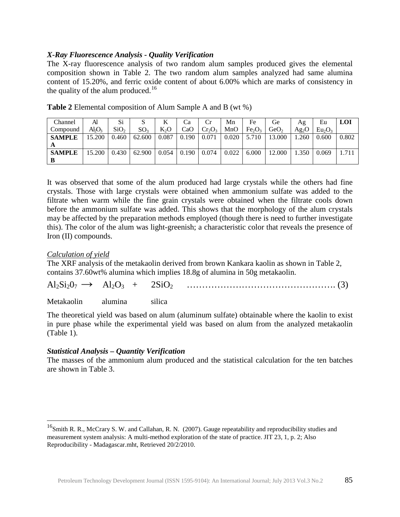# *X-Ray Fluorescence Analysis - Quality Verification*

The X-ray fluorescence analysis of two random alum samples produced gives the elemental composition shown in Table 2. The two random alum samples analyzed had same alumina content of 15.20%, and ferric oxide content of about 6.00% which are marks of consistency in the quality of the alum produced.<sup>[16](#page-4-0)</sup>

| Channel       | Al     | Si               | S               |        | Ca    |           | Mn    | Fe                             | Ge               | Ag      | Eu                             | <b>LOI</b> |
|---------------|--------|------------------|-----------------|--------|-------|-----------|-------|--------------------------------|------------------|---------|--------------------------------|------------|
| Compound      | Al2O2  | SiO <sub>2</sub> | SO <sub>3</sub> | $K_2O$ | CaO   | $Cr_2O_3$ | MnO   | Fe <sub>2</sub> O <sub>3</sub> | GeO <sub>2</sub> | $Ag_2O$ | Eu <sub>2</sub> O <sub>3</sub> |            |
| <b>SAMPLE</b> | 15.200 | 0.460            | 62.600          | 0.087  | 0.190 | 0.071     | 0.020 | 5.710                          | 13.000           | .260    | 0.600                          | 0.802      |
| A             |        |                  |                 |        |       |           |       |                                |                  |         |                                |            |
| <b>SAMPLE</b> | 15.200 | 0.430            | 62.900          | 0.054  | 0.190 | 0.074     | 0.022 | 6.000                          | 12.000           | 1.350   | 0.069                          | 1.711      |
| B             |        |                  |                 |        |       |           |       |                                |                  |         |                                |            |

**Table 2** Elemental composition of Alum Sample A and B (wt %)

It was observed that some of the alum produced had large crystals while the others had fine crystals. Those with large crystals were obtained when ammonium sulfate was added to the filtrate when warm while the fine grain crystals were obtained when the filtrate cools down before the ammonium sulfate was added. This shows that the morphology of the alum crystals may be affected by the preparation methods employed (though there is need to further investigate this). The color of the alum was light-greenish; a characteristic color that reveals the presence of Iron (II) compounds.

## *Calculation of yield*

The XRF analysis of the metakaolin derived from brown Kankara kaolin as shown in Table 2, contains 37.60wt% alumina which implies 18.8g of alumina in 50g metakaolin.

| $Al_2Si_2O_7$ | $A _{\alpha}$ ( ) |  |  |  |  |
|---------------|-------------------|--|--|--|--|
|---------------|-------------------|--|--|--|--|

Metakaolin alumina silica

The theoretical yield was based on alum (aluminum sulfate) obtainable where the kaolin to exist in pure phase while the experimental yield was based on alum from the analyzed metakaolin (Table 1).

## *Statistical Analysis – Quantity Verification*

The masses of the ammonium alum produced and the statistical calculation for the ten batches are shown in Table 3.

<span id="page-4-0"></span><sup>&</sup>lt;sup>16</sup>Smith R. R., McCrary S. W. and Callahan, R. N. (2007). Gauge repeatability and reproducibility studies and measurement system analysis: A multi-method exploration of the state of practice. JIT 23, 1, p. 2; Also Reproducibility - Madagascar.mht, Retrieved 20/2/2010.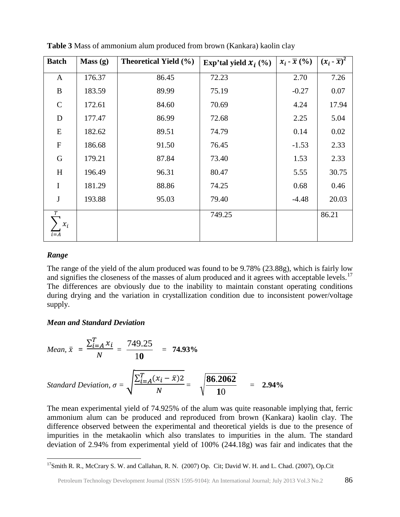| <b>Batch</b>                       | Mass(g) | <b>Theoretical Yield (%)</b> | Exp'tal yield $\mathcal{X}_i$ (%) | $x_i - \overline{x}($ %) | $(x_i - \overline{x})^2$ |
|------------------------------------|---------|------------------------------|-----------------------------------|--------------------------|--------------------------|
| $\mathbf{A}$                       | 176.37  | 86.45                        | 72.23                             | 2.70                     | 7.26                     |
| B                                  | 183.59  | 89.99                        | 75.19                             | $-0.27$                  | 0.07                     |
| $\mathsf{C}$                       | 172.61  | 84.60                        | 70.69                             | 4.24                     | 17.94                    |
| D                                  | 177.47  | 86.99                        | 72.68                             | 2.25                     | 5.04                     |
| Ε                                  | 182.62  | 89.51                        | 74.79                             | 0.14                     | 0.02                     |
| $\mathbf F$                        | 186.68  | 91.50                        | 76.45                             | $-1.53$                  | 2.33                     |
| $\mathbf G$                        | 179.21  | 87.84                        | 73.40                             | 1.53                     | 2.33                     |
| H                                  | 196.49  | 96.31                        | 80.47                             | 5.55                     | 30.75                    |
| $\mathbf I$                        | 181.29  | 88.86                        | 74.25                             | 0.68                     | 0.46                     |
| ${\bf J}$                          | 193.88  | 95.03                        | 79.40                             | $-4.48$                  | 20.03                    |
| $\overline{T}$<br>$x_i$<br>$i = A$ |         |                              | 749.25                            |                          | 86.21                    |

**Table 3** Mass of ammonium alum produced from brown (Kankara) kaolin clay

### *Range*

The range of the yield of the alum produced was found to be 9.78% (23.88g), which is fairly low and signifies the closeness of the masses of alum produced and it agrees with acceptable levels.<sup>[17](#page-5-0)</sup> The differences are obviously due to the inability to maintain constant operating conditions during drying and the variation in crystallization condition due to inconsistent power/voltage supply.

#### *Mean and Standard Deviation*

Mean, 
$$
\bar{x} = \frac{\sum_{i=A}^{T} x_i}{N} = \frac{749.25}{10} = 74.93\%
$$
  
\nStandard Deviation,  $\sigma = \sqrt{\frac{\sum_{i=A}^{T} (x_i - \bar{x})2}{N}} = \sqrt{\frac{86.2062}{10}} = 2.94\%$ 

The mean experimental yield of 74.925% of the alum was quite reasonable implying that, ferric ammonium alum can be produced and reproduced from brown (Kankara) kaolin clay. The difference observed between the experimental and theoretical yields is due to the presence of impurities in the metakaolin which also translates to impurities in the alum. The standard deviation of 2.94% from experimental yield of 100% (244.18g) was fair and indicates that the

<span id="page-5-0"></span><sup>&</sup>lt;sup>17</sup>Smith R. R., McCrary S. W. and Callahan, R. N. (2007) Op. Cit; David W. H. and L. Chad. (2007), Op.Cit